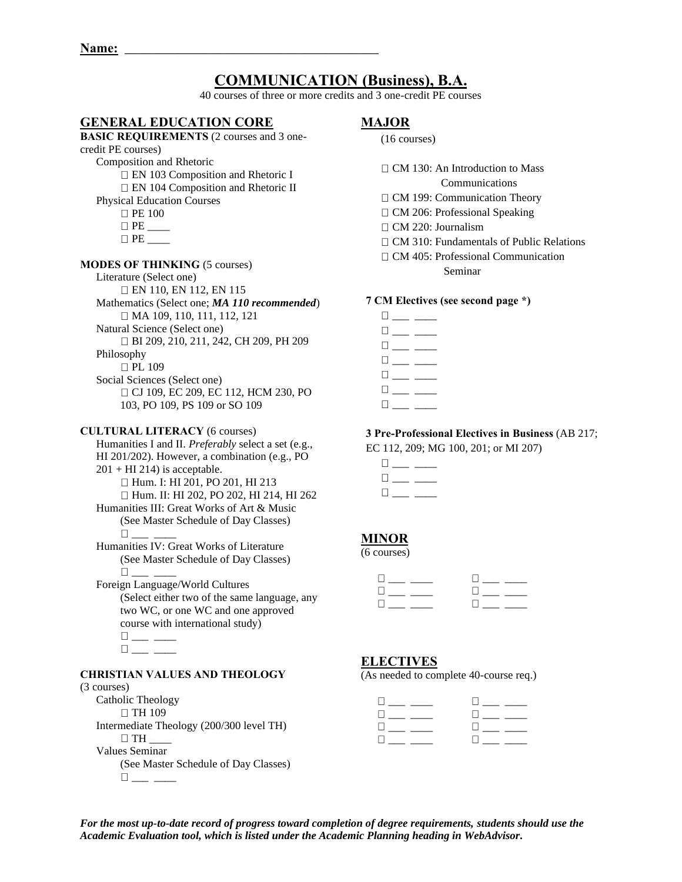# **COMMUNICATION (Business), B.A.**

40 courses of three or more credits and 3 one-credit PE courses

# **GENERAL EDUCATION CORE**

#### **BASIC REQUIREMENTS** (2 courses and 3 onecredit PE courses) Composition and Rhetoric EN 103 Composition and Rhetoric I EN 104 Composition and Rhetoric II Physical Education Courses **D** PE 100  $\Box$  PE

#### **MODES OF THINKING** (5 courses)

Literature (Select one) EN 110, EN 112, EN 115 Mathematics (Select one; *MA 110 recommended*) □ MA 109, 110, 111, 112, 121 Natural Science (Select one) BI 209, 210, 211, 242, CH 209, PH 209 Philosophy □ PL 109 Social Sciences (Select one) CJ 109, EC 209, EC 112, HCM 230, PO 103, PO 109, PS 109 or SO 109

#### **CULTURAL LITERACY** (6 courses)

Humanities I and II. *Preferably* select a set (e.g., HI 201/202). However, a combination (e.g., PO  $201 + HI$  214) is acceptable. □ Hum. I: HI 201, PO 201, HI 213 Hum. II: HI 202, PO 202, HI 214, HI 262 Humanities III: Great Works of Art & Music (See Master Schedule of Day Classes) \_\_\_ \_\_\_\_

Humanities IV: Great Works of Literature (See Master Schedule of Day Classes)  $\Box$ 

Foreign Language/World Cultures (Select either two of the same language, any two WC, or one WC and one approved course with international study)  $\square_{\textit{max}} \xrightarrow{\hspace*{1.5cm}}$ 

 $\square_{\textit{max}} \text{ _{200}}$ 

#### **CHRISTIAN VALUES AND THEOLOGY**

#### (3 courses)

Catholic Theology □ TH 109 Intermediate Theology (200/300 level TH)  $\Box$  TH Values Seminar (See Master Schedule of Day Classes)  $\square_{\textit{max}} \text{ _{i}}$ 

# **MAJOR**

#### (16 courses)

□ CM 130: An Introduction to Mass

Communications

- □ CM 199: Communication Theory
- □ CM 206: Professional Speaking
- $\Box$  CM 220: Journalism
- CM 310: Fundamentals of Public Relations
- □ CM 405: Professional Communication Seminar

#### **7 CM Electives (see second page \*)**

 $\square_{\textit{max}} \xrightarrow{\hspace{0.5cm}}$  $\square_{\textit{max}} \xrightarrow{\hspace{0.05cm}}$  $\Box$  $\Box \hspace{0.09cm} \underline{\hspace{0.09cm}}$  $\Box$  $\Box$  $\Box$ 

#### **3 Pre-Professional Electives in Business** (AB 217;

EC 112, 209; MG 100, 201; or MI 207)

| $\Box$  |  |
|---------|--|
| $\perp$ |  |
| П       |  |

# **MINOR**

#### (6 courses)

| $\Box$                       |  |
|------------------------------|--|
| and the contract of the con- |  |
| $\mathbf{1}$                 |  |

### **ELECTIVES**

(As needed to complete 40-course req.)

| $\Box$                                     | <u> Harry Start (1984)</u>                     |
|--------------------------------------------|------------------------------------------------|
| the company of the company of              | <b>District Contract Contract</b>              |
| <b>International Contract of the State</b> | $\Box$ and $\Box$ and $\Box$                   |
| $\Box$                                     | $\mathbf{u}$ and $\mathbf{u}$ and $\mathbf{u}$ |

*For the most up-to-date record of progress toward completion of degree requirements, students should use the Academic Evaluation tool, which is listed under the Academic Planning heading in WebAdvisor.*